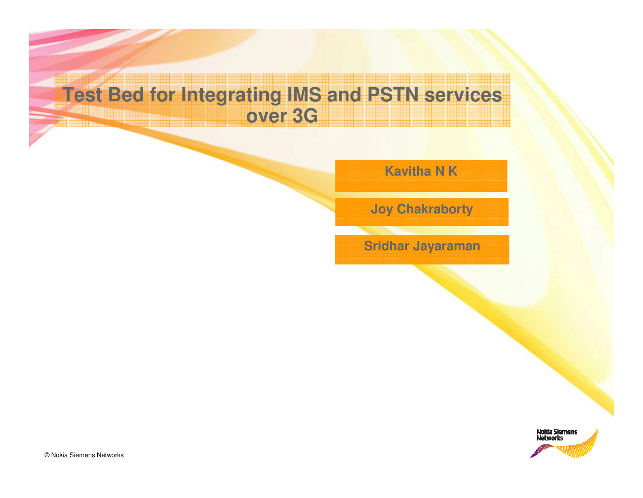# **Test Bed for Integrating IMS and PSTN services over 3G**

**Kavitha N K**

**Joy Chakraborty**

**Sridhar Jayaraman**

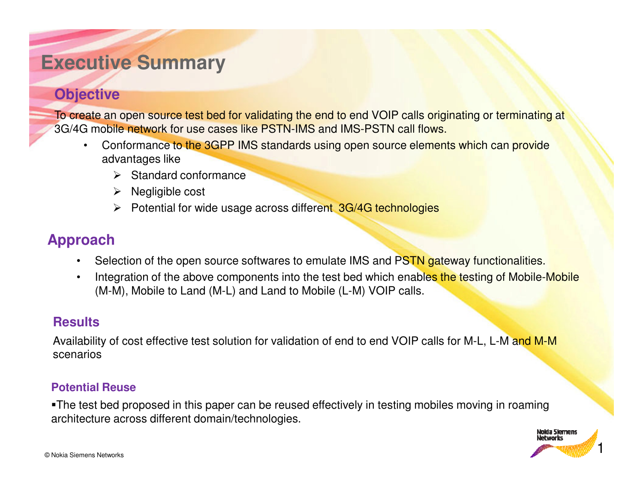## **Executive Summary**

#### **Objective**

To create an open source test bed for validating the end to end VOIP calls originating or terminating at 3G/4G mobile network for use cases like PSTN-IMS and IMS-PSTN call flows.

- • Conformance to the 3GPP IMS standards using open source elements which can provide advantages like
	- Standard conformance
	- > Negligible cost
	- > Potential for wide usage across different 3G/4G technologies

#### **Approach**

- •Selection of the open source softwares to emulate IMS and PSTN gateway functionalities.
- •Integration of the above components into the test bed which enables the testing of Mobile-Mobile (M-M), Mobile to Land (M-L) and Land to Mobile (L-M) VOIP calls.

#### **Results**

Availability of cost effective test solution for validation of end to end VOIP calls for M-L, L-M and M-M scenarios

#### **Potential Reuse**

-The test bed proposed in this paper can be reused effectively in testing mobiles moving in roaming architecture across different domain/technologies.

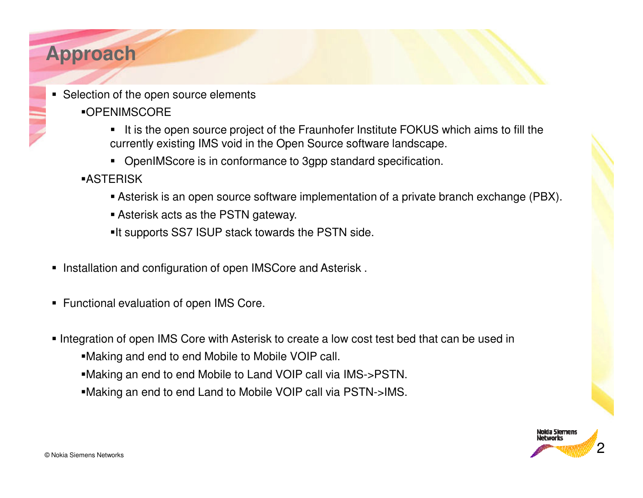# **Approach**

- Selection of the open source elements
	- -OPENIMSCORE
		- It is the open source project of the Fraunhofer Institute FOKUS which aims to fill the currently existing IMS void in the Open Source software landscape.
		- OpenIMScore is in conformance to 3gpp standard specification.

■ASTERISK

- Asterisk is an open source software implementation of a private branch exchange (PBX).
- Asterisk acts as the PSTN gateway.
- -It supports SS7 ISUP stack towards the PSTN side.
- -Installation and configuration of open IMSCore and Asterisk .
- Functional evaluation of open IMS Core.
- Integration of open IMS Core with Asterisk to create a low cost test bed that can be used in
	- -Making and end to end Mobile to Mobile VOIP call.
	- -Making an end to end Mobile to Land VOIP call via IMS->PSTN.
	- -Making an end to end Land to Mobile VOIP call via PSTN->IMS.

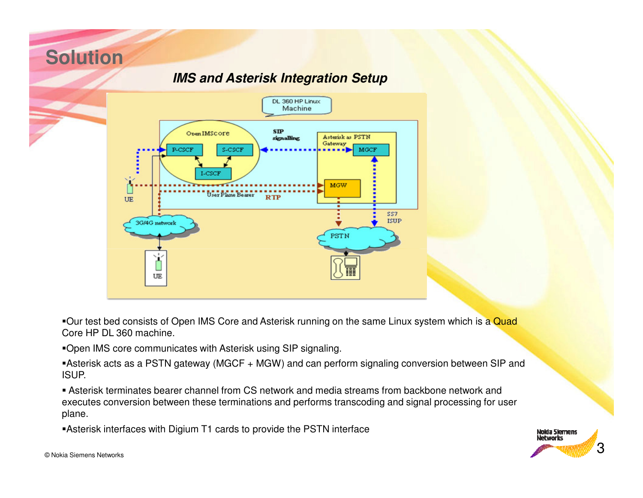#### **IMS and Asterisk Integration Setup**



-Our test bed consists of Open IMS Core and Asterisk running on the same Linux system which is a Quad Core HP DL 360 machine.

-Open IMS core communicates with Asterisk using SIP signaling.

-Asterisk acts as a PSTN gateway (MGCF + MGW) and can perform signaling conversion between SIP and ISUP.

- Asterisk terminates bearer channel from CS network and media streams from backbone network and executes conversion between these terminations and performs transcoding and signal processing for user plane.

-Asterisk interfaces with Digium T1 cards to provide the PSTN interface



**Solution**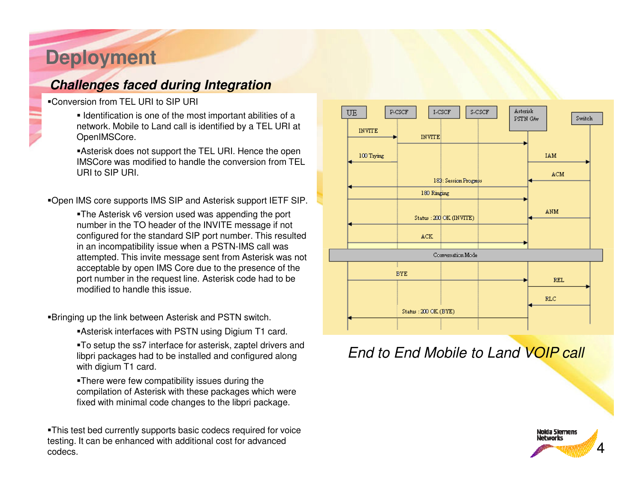## **Deployment**

#### **Challenges faced during Integration**

-Conversion from TEL URI to SIP URI

- Identification is one of the most important abilities of a network. Mobile to Land call is identified by a TEL URI at OpenIMSCore.

-Asterisk does not support the TEL URI. Hence the open IMSCore was modified to handle the conversion from TELURI to SIP URI.

-Open IMS core supports IMS SIP and Asterisk support IETF SIP.

-The Asterisk v6 version used was appending the port number in the TO header of the INVITE message if not configured for the standard SIP port number. This resulted in an incompatibility issue when a PSTN-IMS call was attempted. This invite message sent from Asterisk was not acceptable by open IMS Core due to the presence of the port number in the request line. Asterisk code had to be modified to handle this issue.

-Bringing up the link between Asterisk and PSTN switch.

- -Asterisk interfaces with PSTN using Digium T1 card.
- -To setup the ss7 interface for asterisk, zaptel drivers and libpri packages had to be installed and configured along with digium T1 card.
- -There were few compatibility issues during the compilation of Asterisk with these packages which were fixed with minimal code changes to the libpri package.

codecs. Marioca win additional cool for advanced the company of the company of the company of the company of the company of the company of the company of the company of the company of the company of the company of the company of t -This test bed currently supports basic codecs required for voice testing. It can be enhanced with additional cost for advanced



## End to End Mobile to Land VOIP call

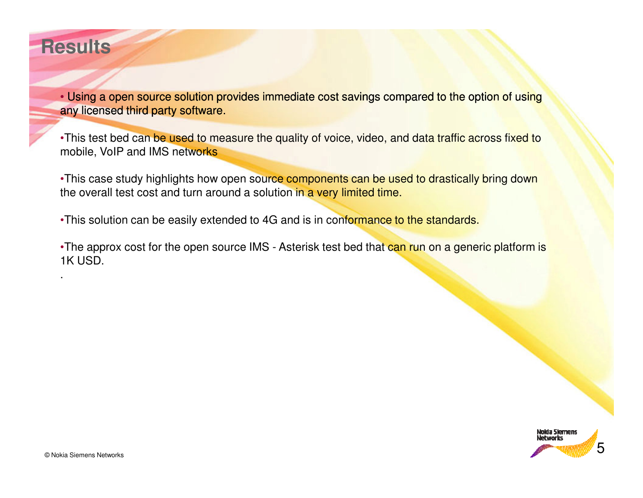## **Results**

• Using a open source solution provides immediate cost savings compared to the option of using any licensed third party software.

•This test bed can be used to measure the quality of voice, video, and data traffic across fixed to mobile, VoIP and IMS networks

•This case study highlights how open source components can be used to drastically bring down the overall test cost and turn around a solution in a very limited time.

•This solution can be easily extended to 4G and is in conformance to the standards.

•The approx cost for the open source IMS - Asterisk test bed that can run on a generic platform is in a stript 1K USD.